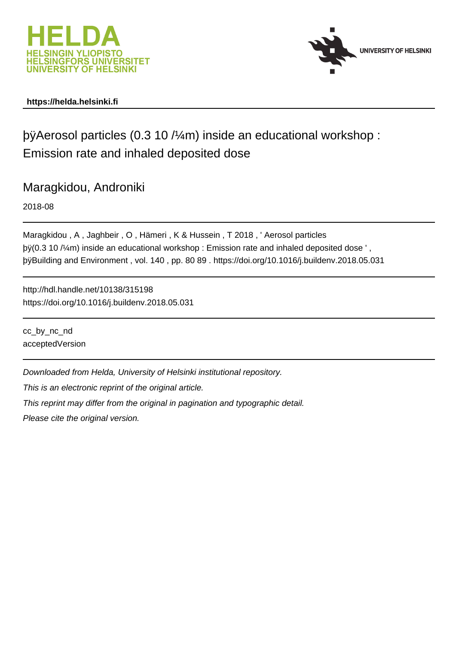



#### **https://helda.helsinki.fi**

# þÿAerosol particles (0.3 10/¼m) inside an educati Emission rate and inhaled deposited dose

## Maragkidou, Androniki

2018-08

```
Maragkidou , A , Jaghbeir , O , Hämeri , K & Hussein , T 2018 , ' Aerosol particles
p\ddot{y}(0.3 10/\frac{u}{4}m) inside an educational workshop : Emission rate and inhale
þÿBuilding and Environment, vol. 140, pp. 80 89. https://doi.org/10.10
```
http://hdl.handle.net/10138/315198 https://doi.org/10.1016/j.buildenv.2018.05.031

cc\_by\_nc\_nd acceptedVersion

Downloaded from Helda, University of Helsinki institutional repository.

This is an electronic reprint of the original article.

This reprint may differ from the original in pagination and typographic detail.

Please cite the original version.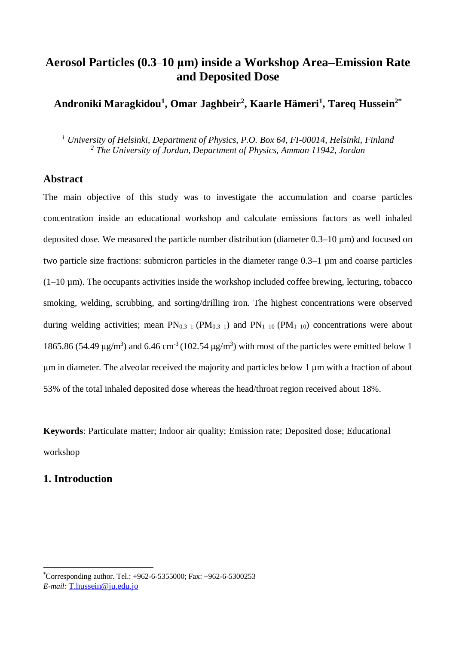# **Aerosol Particles (0.3**-**10 μm) inside a Workshop Area**-**Emission Rate and Deposited Dose**

**Androniki Maragkidou1 , Omar Jaghbeir2 , Kaarle Hämeri1 , Tareq Hussein2\***

*<sup>1</sup> University of Helsinki, Department of Physics, P.O. Box 64, FI-00014, Helsinki, Finland <sup>2</sup> The University of Jordan, Department of Physics, Amman 11942, Jordan*

#### **Abstract**

The main objective of this study was to investigate the accumulation and coarse particles concentration inside an educational workshop and calculate emissions factors as well inhaled deposited dose. We measured the particle number distribution (diameter 0.3–10 µm) and focused on two particle size fractions: submicron particles in the diameter range 0.3–1 µm and coarse particles  $(1-10 \mu m)$ . The occupants activities inside the workshop included coffee brewing, lecturing, tobacco smoking, welding, scrubbing, and sorting/drilling iron. The highest concentrations were observed during welding activities; mean  $PN_{0,3-1}$  ( $PM_{0,3-1}$ ) and  $PN_{1-10}$  ( $PM_{1-10}$ ) concentrations were about 1865.86 (54.49  $\mu$ g/m<sup>3</sup>) and 6.46 cm<sup>-3</sup> (102.54  $\mu$ g/m<sup>3</sup>) with most of the particles were emitted below 1 μm in diameter. The alveolar received the majority and particles below 1 µm with a fraction of about 53% of the total inhaled deposited dose whereas the head/throat region received about 18%.

**Keywords**: Particulate matter; Indoor air quality; Emission rate; Deposited dose; Educational workshop

### **1. Introduction**

<sup>\*</sup> Corresponding author. Tel.: +962-6-5355000; Fax: +962-6-5300253 *E-mail:* [T.hussein@ju.edu.jo](mailto:T.hussein@ju.edu.jo)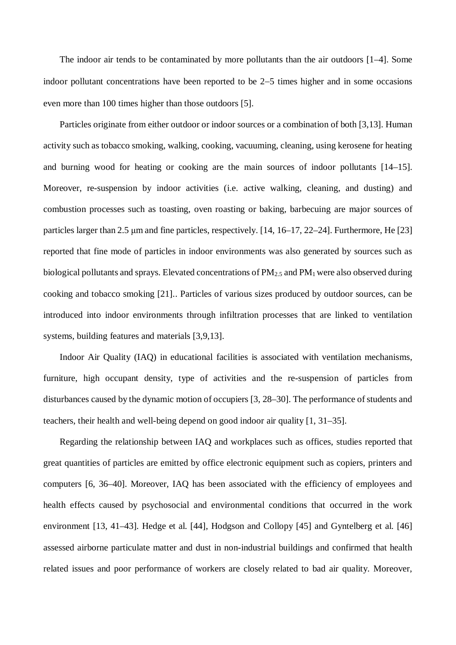The indoor air tends to be contaminated by more pollutants than the air outdoors [1–4]. Some indoor pollutant concentrations have been reported to be 2-5 times higher and in some occasions even more than 100 times higher than those outdoors [5].

Particles originate from either outdoor or indoor sources or a combination of both [3,13]. Human activity such as tobacco smoking, walking, cooking, vacuuming, cleaning, using kerosene for heating and burning wood for heating or cooking are the main sources of indoor pollutants [14–15]. Moreover, re-suspension by indoor activities (i.e. active walking, cleaning, and dusting) and combustion processes such as toasting, oven roasting or baking, barbecuing are major sources of particles larger than 2.5 μm and fine particles, respectively. [14, 16–17, 22–24]. Furthermore, He [23] reported that fine mode of particles in indoor environments was also generated by sources such as biological pollutants and sprays. Elevated concentrations of PM<sub>2.5</sub> and PM<sub>1</sub> were also observed during cooking and tobacco smoking [21].. Particles of various sizes produced by outdoor sources, can be introduced into indoor environments through infiltration processes that are linked to ventilation systems, building features and materials [3,9,13].

Indoor Air Quality (IAQ) in educational facilities is associated with ventilation mechanisms, furniture, high occupant density, type of activities and the re-suspension of particles from disturbances caused by the dynamic motion of occupiers [3, 28–30]. The performance of students and teachers, their health and well-being depend on good indoor air quality [1, 31–35].

Regarding the relationship between IAQ and workplaces such as offices, studies reported that great quantities of particles are emitted by office electronic equipment such as copiers, printers and computers [6, 36–40]. Moreover, IAQ has been associated with the efficiency of employees and health effects caused by psychosocial and environmental conditions that occurred in the work environment [13, 41–43]. Hedge et al. [44], Hodgson and Collopy [45] and Gyntelberg et al. [46] assessed airborne particulate matter and dust in non-industrial buildings and confirmed that health related issues and poor performance of workers are closely related to bad air quality. Moreover,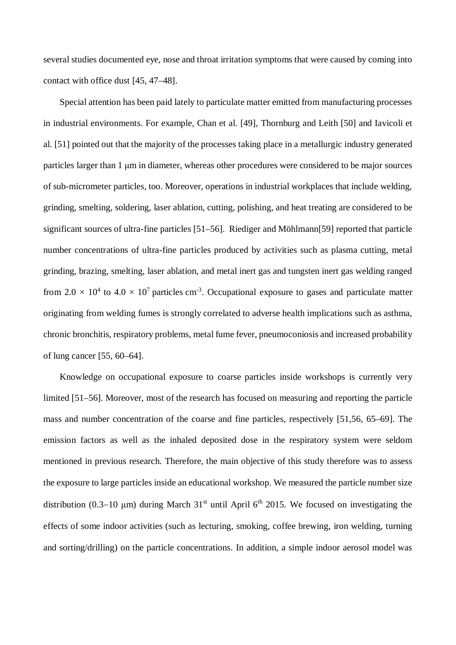several studies documented eye, nose and throat irritation symptoms that were caused by coming into contact with office dust [45, 47–48].

Special attention has been paid lately to particulate matter emitted from manufacturing processes in industrial environments. For example, Chan et al. [49], Thornburg and Leith [50] and Iavicoli et al. [51] pointed out that the majority of the processes taking place in a metallurgic industry generated particles larger than 1 μm in diameter, whereas other procedures were considered to be major sources of sub-micrometer particles, too. Moreover, operations in industrial workplaces that include welding, grinding, smelting, soldering, laser ablation, cutting, polishing, and heat treating are considered to be significant sources of ultra-fine particles [51–56]. Riediger and Möhlmann[59] reported that particle number concentrations of ultra-fine particles produced by activities such as plasma cutting, metal grinding, brazing, smelting, laser ablation, and metal inert gas and tungsten inert gas welding ranged from 2.0  $\times$  10<sup>4</sup> to 4.0  $\times$  10<sup>7</sup> particles cm<sup>-3</sup>. Occupational exposure to gases and particulate matter originating from welding fumes is strongly correlated to adverse health implications such as asthma, chronic bronchitis, respiratory problems, metal fume fever, pneumoconiosis and increased probability of lung cancer [55, 60–64].

Knowledge on occupational exposure to coarse particles inside workshops is currently very limited [51–56]. Moreover, most of the research has focused on measuring and reporting the particle mass and number concentration of the coarse and fine particles, respectively [51,56, 65–69]. The emission factors as well as the inhaled deposited dose in the respiratory system were seldom mentioned in previous research. Therefore, the main objective of this study therefore was to assess the exposure to large particles inside an educational workshop. We measured the particle number size distribution (0.3-10 µm) during March 31<sup>st</sup> until April 6<sup>th</sup> 2015. We focused on investigating the effects of some indoor activities (such as lecturing, smoking, coffee brewing, iron welding, turning and sorting/drilling) on the particle concentrations. In addition, a simple indoor aerosol model was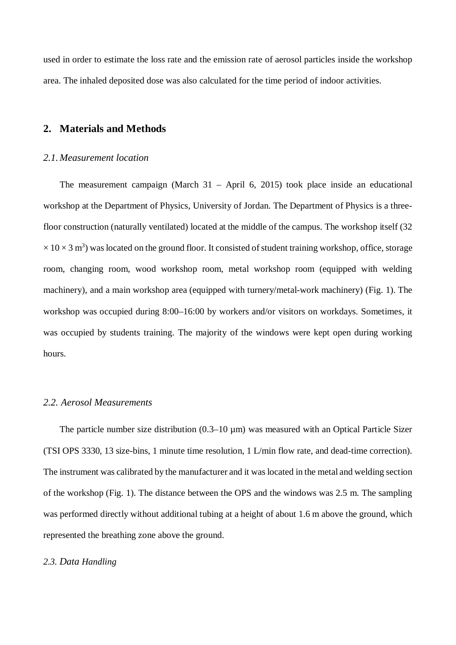used in order to estimate the loss rate and the emission rate of aerosol particles inside the workshop area. The inhaled deposited dose was also calculated for the time period of indoor activities.

#### **2. Materials and Methods**

#### *2.1. Measurement location*

The measurement campaign (March 31 – April 6, 2015) took place inside an educational workshop at the Department of Physics, University of Jordan. The Department of Physics is a threefloor construction (naturally ventilated) located at the middle of the campus. The workshop itself (32  $\times$  10  $\times$  3 m<sup>3</sup>) was located on the ground floor. It consisted of student training workshop, office, storage room, changing room, wood workshop room, metal workshop room (equipped with welding machinery), and a main workshop area (equipped with turnery/metal-work machinery) (Fig. 1). The workshop was occupied during 8:00–16:00 by workers and/or visitors on workdays. Sometimes, it was occupied by students training. The majority of the windows were kept open during working hours.

#### *2.2. Aerosol Measurements*

The particle number size distribution  $(0.3-10 \,\mu m)$  was measured with an Optical Particle Sizer (TSI OPS 3330, 13 size-bins, 1 minute time resolution, 1 L/min flow rate, and dead-time correction). The instrument was calibrated by the manufacturer and it was located in the metal and welding section of the workshop (Fig. 1). The distance between the OPS and the windows was 2.5 m. The sampling was performed directly without additional tubing at a height of about 1.6 m above the ground, which represented the breathing zone above the ground.

#### *2.3. Data Handling*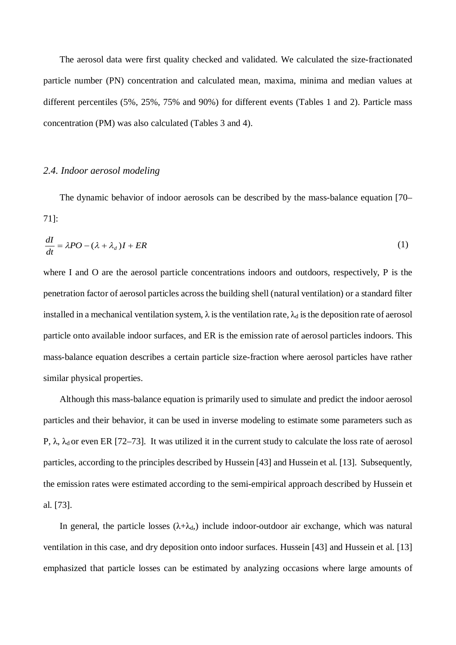The aerosol data were first quality checked and validated. We calculated the size-fractionated particle number (PN) concentration and calculated mean, maxima, minima and median values at different percentiles (5%, 25%, 75% and 90%) for different events (Tables 1 and 2). Particle mass concentration (PM) was also calculated (Tables 3 and 4).

#### *2.4. Indoor aerosol modeling*

The dynamic behavior of indoor aerosols can be described by the mass-balance equation [70– 71]:

$$
\frac{dI}{dt} = \lambda PO - (\lambda + \lambda_d)I + ER
$$
 (1)

where I and O are the aerosol particle concentrations indoors and outdoors, respectively, P is the penetration factor of aerosol particles across the building shell (natural ventilation) or a standard filter installed in a mechanical ventilation system,  $\lambda$  is the ventilation rate,  $\lambda_d$  is the deposition rate of aerosol particle onto available indoor surfaces, and ER is the emission rate of aerosol particles indoors. This mass-balance equation describes a certain particle size-fraction where aerosol particles have rather similar physical properties.

Although this mass-balance equation is primarily used to simulate and predict the indoor aerosol particles and their behavior, it can be used in inverse modeling to estimate some parameters such as P,  $\lambda$ ,  $\lambda$ <sub>d</sub> or even ER [72–73]. It was utilized it in the current study to calculate the loss rate of aerosol particles, according to the principles described by Hussein [43] and Hussein et al. [13]. Subsequently, the emission rates were estimated according to the semi-empirical approach described by Hussein et al. [73].

In general, the particle losses  $(\lambda + \lambda_d)$  include indoor-outdoor air exchange, which was natural ventilation in this case, and dry deposition onto indoor surfaces. Hussein [43] and Hussein et al. [13] emphasized that particle losses can be estimated by analyzing occasions where large amounts of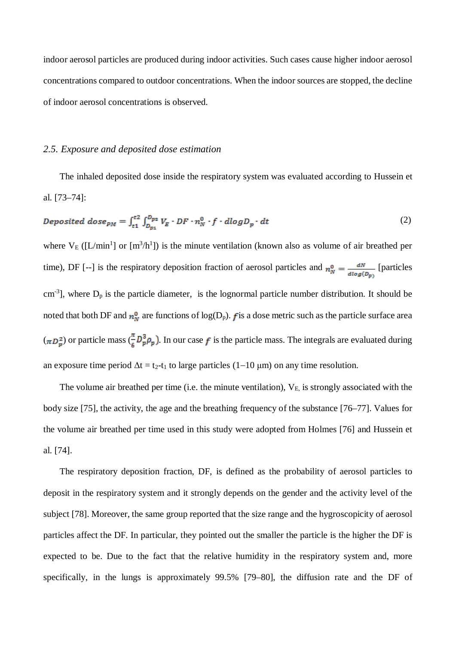indoor aerosol particles are produced during indoor activities. Such cases cause higher indoor aerosol concentrations compared to outdoor concentrations. When the indoor sources are stopped, the decline of indoor aerosol concentrations is observed.

#### *2.5. Exposure and deposited dose estimation*

The inhaled deposited dose inside the respiratory system was evaluated according to Hussein et al. [73–74]:

$$
Deposited\ dose_{PM} = \int_{t1}^{t2} \int_{D_{p1}}^{D_{p2}} V_E \cdot DF \cdot n_N^0 \cdot f \cdot dlogD_p \cdot dt \tag{2}
$$

where  $V_E$  ([L/min<sup>1</sup>] or [m<sup>3</sup>/h<sup>1</sup>]) is the minute ventilation (known also as volume of air breathed per time), DF [--] is the respiratory deposition fraction of aerosol particles and  $n_N^0 = \frac{dN}{dlog(D_n)}$  [particles cm<sup>-3</sup>], where  $D_p$  is the particle diameter, is the lognormal particle number distribution. It should be noted that both DF and  $n^0$  are functions of log(D<sub>p</sub>). **f** is a dose metric such as the particle surface area  $(\pi D_x^2)$  or particle mass  $(\frac{\pi}{6}D_p^3 \rho_p)$ . In our case f is the particle mass. The integrals are evaluated during an exposure time period  $\Delta t = t_2-t_1$  to large particles (1–10 μm) on any time resolution.

The volume air breathed per time (i.e. the minute ventilation),  $V_{E}$  is strongly associated with the body size [75], the activity, the age and the breathing frequency of the substance [76–77]. Values for the volume air breathed per time used in this study were adopted from Holmes [76] and Hussein et al. [74].

The respiratory deposition fraction, DF, is defined as the probability of aerosol particles to deposit in the respiratory system and it strongly depends on the gender and the activity level of the subject [78]. Moreover, the same group reported that the size range and the hygroscopicity of aerosol particles affect the DF. In particular, they pointed out the smaller the particle is the higher the DF is expected to be. Due to the fact that the relative humidity in the respiratory system and, more specifically, in the lungs is approximately 99.5% [79–80], the diffusion rate and the DF of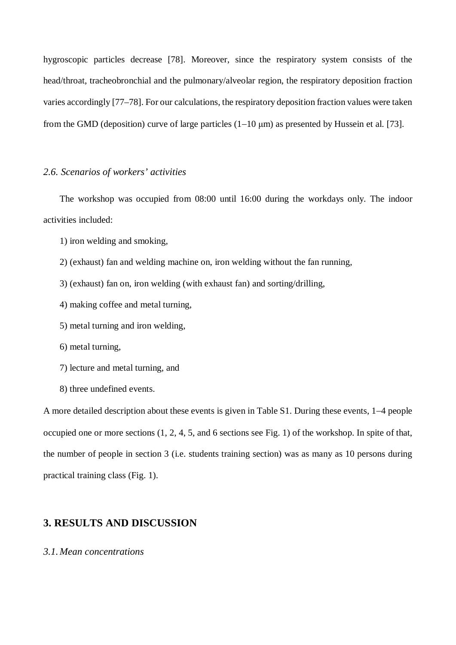hygroscopic particles decrease [78]. Moreover, since the respiratory system consists of the head/throat, tracheobronchial and the pulmonary/alveolar region, the respiratory deposition fraction varies accordingly [77–78]. For our calculations, the respiratory deposition fraction values were taken from the GMD (deposition) curve of large particles  $(1-10 \mu m)$  as presented by Hussein et al. [73].

#### *2.6. Scenarios of workers' activities*

The workshop was occupied from 08:00 until 16:00 during the workdays only. The indoor activities included:

- 1) iron welding and smoking,
- 2) (exhaust) fan and welding machine on, iron welding without the fan running,
- 3) (exhaust) fan on, iron welding (with exhaust fan) and sorting/drilling,
- 4) making coffee and metal turning,
- 5) metal turning and iron welding,
- 6) metal turning,
- 7) lecture and metal turning, and
- 8) three undefined events.

A more detailed description about these events is given in Table S1. During these events, 1-4 people occupied one or more sections (1, 2, 4, 5, and 6 sections see Fig. 1) of the workshop. In spite of that, the number of people in section 3 (i.e. students training section) was as many as 10 persons during practical training class (Fig. 1).

#### **3. RESULTS AND DISCUSSION**

### *3.1. Mean concentrations*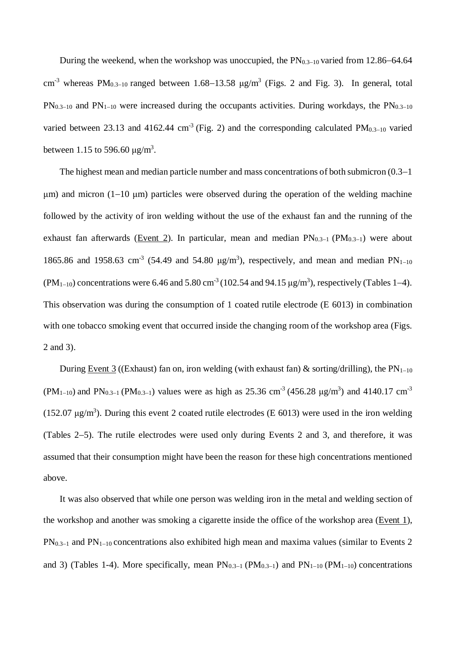During the weekend, when the workshop was unoccupied, the  $PN<sub>0.3-10</sub>$  varied from 12.86–64.64 cm<sup>-3</sup> whereas PM<sub>0.3-10</sub> ranged between 1.68-13.58  $\mu$ g/m<sup>3</sup> (Figs. 2 and Fig. 3). In general, total  $PN_{0,3-10}$  and  $PN_{1-10}$  were increased during the occupants activities. During workdays, the  $PN_{0,3-10}$ varied between 23.13 and 4162.44 cm<sup>-3</sup> (Fig. 2) and the corresponding calculated  $PM_{0.3-10}$  varied between 1.15 to 596.60  $\mu$ g/m<sup>3</sup>.

The highest mean and median particle number and mass concentrations of both submicron (0.3-1  $\mu$ m) and micron (1-10  $\mu$ m) particles were observed during the operation of the welding machine followed by the activity of iron welding without the use of the exhaust fan and the running of the exhaust fan afterwards (Event 2). In particular, mean and median  $PN_{0.3-1}$  ( $PM_{0.3-1}$ ) were about 1865.86 and 1958.63 cm<sup>-3</sup> (54.49 and 54.80  $\mu$ g/m<sup>3</sup>), respectively, and mean and median PN<sub>1-10</sub>  $(PM_{1-10})$  concentrations were 6.46 and 5.80 cm<sup>-3</sup> (102.54 and 94.15  $\mu$ g/m<sup>3</sup>), respectively (Tables 1–4). This observation was during the consumption of 1 coated rutile electrode (E 6013) in combination with one tobacco smoking event that occurred inside the changing room of the workshop area (Figs. 2 and 3).

During Event 3 ((Exhaust) fan on, iron welding (with exhaust fan) & sorting/drilling), the  $PN_{1-10}$  $(PM_{1-10})$  and  $PN_{0.3-1}$  (PM<sub>0.3-1</sub>) values were as high as 25.36 cm<sup>-3</sup> (456.28 µg/m<sup>3</sup>) and 4140.17 cm<sup>-3</sup> (152.07  $\mu$ g/m<sup>3</sup>). During this event 2 coated rutile electrodes (E 6013) were used in the iron welding (Tables 2-5). The rutile electrodes were used only during Events 2 and 3, and therefore, it was assumed that their consumption might have been the reason for these high concentrations mentioned above.

It was also observed that while one person was welding iron in the metal and welding section of the workshop and another was smoking a cigarette inside the office of the workshop area (Event 1),  $PN_{0,3-1}$  and  $PN_{1-10}$  concentrations also exhibited high mean and maxima values (similar to Events 2) and 3) (Tables 1-4). More specifically, mean  $PN_{0.3-1}$  ( $PM_{0.3-1}$ ) and  $PN_{1-10}$  ( $PM_{1-10}$ ) concentrations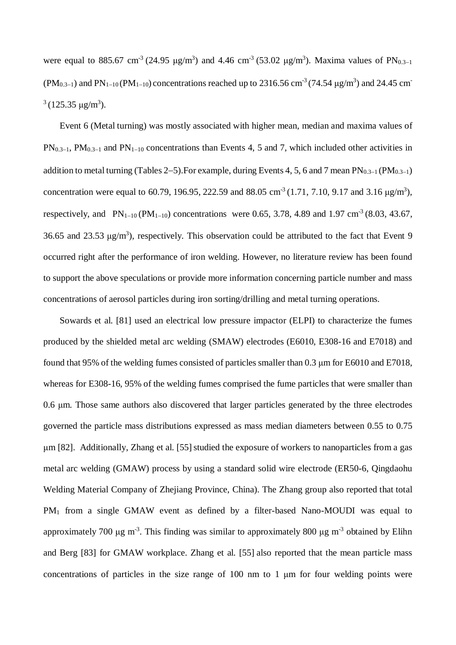were equal to 885.67 cm<sup>-3</sup> (24.95  $\mu$ g/m<sup>3</sup>) and 4.46 cm<sup>-3</sup> (53.02  $\mu$ g/m<sup>3</sup>). Maxima values of PN<sub>0.3-1</sub>  $(PM_{0.3-1})$  and  $PN_{1-10}(PM_{1-10})$  concentrations reached up to 2316.56 cm<sup>-3</sup> (74.54  $\mu$ g/m<sup>3</sup>) and 24.45 cm<sup>-3</sup>  $3(125.35 \text{ µg/m}^3).$ 

Event 6 (Metal turning) was mostly associated with higher mean, median and maxima values of  $PN<sub>0.3-1</sub>$ ,  $PM<sub>0.3-1</sub>$  and  $PN<sub>1-10</sub>$  concentrations than Events 4, 5 and 7, which included other activities in addition to metal turning (Tables 2–5). For example, during Events 4, 5, 6 and 7 mean  $PN_{0.3-1}$  ( $PM_{0.3-1}$ ) concentration were equal to 60.79, 196.95, 222.59 and 88.05 cm<sup>-3</sup> (1.71, 7.10, 9.17 and 3.16  $\mu$ g/m<sup>3</sup>), respectively, and  $PN_{1-10} (PM_{1-10})$  concentrations were 0.65, 3.78, 4.89 and 1.97 cm<sup>-3</sup> (8.03, 43.67, 36.65 and 23.53  $\mu$ g/m<sup>3</sup>), respectively. This observation could be attributed to the fact that Event 9 occurred right after the performance of iron welding. However, no literature review has been found to support the above speculations or provide more information concerning particle number and mass concentrations of aerosol particles during iron sorting/drilling and metal turning operations.

Sowards et al. [81] used an electrical low pressure impactor (ELPI) to characterize the fumes produced by the shielded metal arc welding (SMAW) electrodes (E6010, E308-16 and E7018) and found that 95% of the welding fumes consisted of particles smaller than 0.3 μm for E6010 and E7018, whereas for E308-16, 95% of the welding fumes comprised the fume particles that were smaller than 0.6 μm. Those same authors also discovered that larger particles generated by the three electrodes governed the particle mass distributions expressed as mass median diameters between 0.55 to 0.75  $\mu$ m [82]. Additionally, Zhang et al. [55] studied the exposure of workers to nanoparticles from a gas metal arc welding (GMAW) process by using a standard solid wire electrode (ER50-6, Qingdaohu Welding Material Company of Zhejiang Province, China). The Zhang group also reported that total PM<sub>1</sub> from a single GMAW event as defined by a filter-based Nano-MOUDI was equal to approximately 700 μg m<sup>-3</sup>. This finding was similar to approximately 800 μg m<sup>-3</sup> obtained by Elihn and Berg [83] for GMAW workplace. Zhang et al. [55] also reported that the mean particle mass concentrations of particles in the size range of 100 nm to 1 μm for four welding points were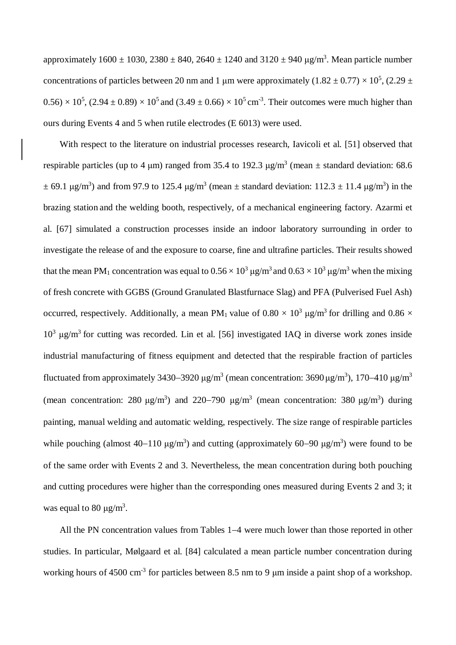approximately  $1600 \pm 1030$ ,  $2380 \pm 840$ ,  $2640 \pm 1240$  and  $3120 \pm 940$   $\mu$ g/m<sup>3</sup>. Mean particle number concentrations of particles between 20 nm and 1 µm were approximately  $(1.82 \pm 0.77) \times 10^5$ ,  $(2.29 \pm 0.77)$  $(0.56) \times 10^5$ ,  $(2.94 \pm 0.89) \times 10^5$  and  $(3.49 \pm 0.66) \times 10^5$  cm<sup>-3</sup>. Their outcomes were much higher than ours during Events 4 and 5 when rutile electrodes (E 6013) were used.

With respect to the literature on industrial processes research, Iavicoli et al. [51] observed that respirable particles (up to 4 μm) ranged from 35.4 to 192.3  $\mu$ g/m<sup>3</sup> (mean  $\pm$  standard deviation: 68.6  $\pm$  69.1 µg/m<sup>3</sup>) and from 97.9 to 125.4 µg/m<sup>3</sup> (mean  $\pm$  standard deviation: 112.3  $\pm$  11.4 µg/m<sup>3</sup>) in the brazing station and the welding booth, respectively, of a mechanical engineering factory. Azarmi et al. [67] simulated a construction processes inside an indoor laboratory surrounding in order to investigate the release of and the exposure to coarse, fine and ultrafine particles. Their results showed that the mean PM<sub>1</sub> concentration was equal to  $0.56 \times 10^3$  µg/m<sup>3</sup> and  $0.63 \times 10^3$  µg/m<sup>3</sup> when the mixing of fresh concrete with GGBS (Ground Granulated Blastfurnace Slag) and PFA (Pulverised Fuel Ash) occurred, respectively. Additionally, a mean PM<sub>1</sub> value of  $0.80 \times 10^3$  µg/m<sup>3</sup> for drilling and  $0.86 \times$  $10^3$  μg/m<sup>3</sup> for cutting was recorded. Lin et al. [56] investigated IAQ in diverse work zones inside industrial manufacturing of fitness equipment and detected that the respirable fraction of particles fluctuated from approximately 3430–3920 μg/m<sup>3</sup> (mean concentration: 3690 μg/m<sup>3</sup>), 170–410 μg/m<sup>3</sup> (mean concentration: 280  $\mu$ g/m<sup>3</sup>) and 220–790  $\mu$ g/m<sup>3</sup> (mean concentration: 380  $\mu$ g/m<sup>3</sup>) during painting, manual welding and automatic welding, respectively. The size range of respirable particles while pouching (almost 40–110  $\mu$ g/m<sup>3</sup>) and cutting (approximately 60–90  $\mu$ g/m<sup>3</sup>) were found to be of the same order with Events 2 and 3. Nevertheless, the mean concentration during both pouching and cutting procedures were higher than the corresponding ones measured during Events 2 and 3; it was equal to 80  $\mu$ g/m<sup>3</sup>.

All the PN concentration values from Tables 1–4 were much lower than those reported in other studies. In particular, Mølgaard et al. [84] calculated a mean particle number concentration during working hours of 4500 cm<sup>-3</sup> for particles between 8.5 nm to 9  $\mu$ m inside a paint shop of a workshop.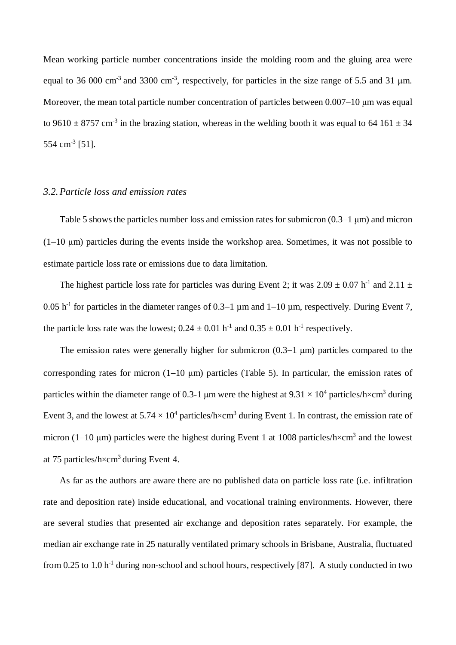Mean working particle number concentrations inside the molding room and the gluing area were equal to 36 000 cm<sup>-3</sup> and 3300 cm<sup>-3</sup>, respectively, for particles in the size range of 5.5 and 31  $\mu$ m. Moreover, the mean total particle number concentration of particles between 0.007–10 μm was equal to 9610  $\pm$  8757 cm<sup>-3</sup> in the brazing station, whereas in the welding booth it was equal to 64 161  $\pm$  34 554 cm<sup>-3</sup> [51].

#### *3.2.Particle loss and emission rates*

Table 5 shows the particles number loss and emission rates for submicron  $(0.3-1 \,\mu m)$  and micron (1-10 μm) particles during the events inside the workshop area. Sometimes, it was not possible to estimate particle loss rate or emissions due to data limitation.

The highest particle loss rate for particles was during Event 2; it was  $2.09 \pm 0.07$  h<sup>-1</sup> and  $2.11 \pm$ 0.05 h<sup>-1</sup> for particles in the diameter ranges of 0.3–1  $\mu$ m and 1–10  $\mu$ m, respectively. During Event 7, the particle loss rate was the lowest;  $0.24 \pm 0.01$  h<sup>-1</sup> and  $0.35 \pm 0.01$  h<sup>-1</sup> respectively.

The emission rates were generally higher for submicron  $(0.3-1 \mu m)$  particles compared to the corresponding rates for micron  $(1-10 \mu m)$  particles (Table 5). In particular, the emission rates of particles within the diameter range of 0.3-1 µm were the highest at  $9.31 \times 10^4$  particles/h×cm<sup>3</sup> during Event 3, and the lowest at  $5.74 \times 10^4$  particles/h $\times$ cm<sup>3</sup> during Event 1. In contrast, the emission rate of micron (1-10  $\mu$ m) particles were the highest during Event 1 at 1008 particles/h $\times$ cm<sup>3</sup> and the lowest at 75 particles/h×cm3 during Event 4.

As far as the authors are aware there are no published data on particle loss rate (i.e. infiltration rate and deposition rate) inside educational, and vocational training environments. However, there are several studies that presented air exchange and deposition rates separately. For example, the median air exchange rate in 25 naturally ventilated primary schools in Brisbane, Australia, fluctuated from 0.25 to 1.0  $h^{-1}$  during non-school and school hours, respectively [87]. A study conducted in two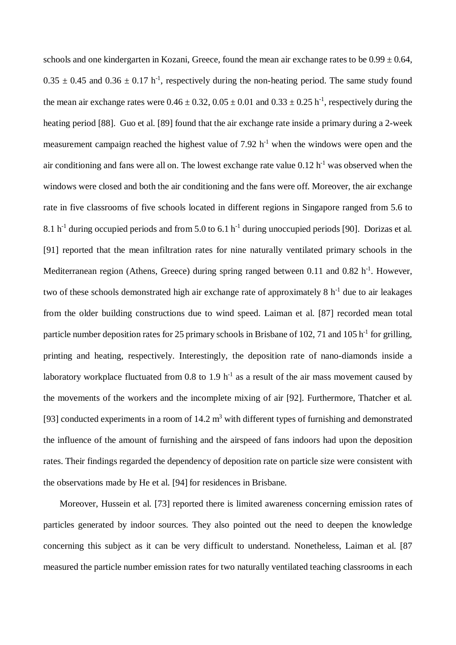schools and one kindergarten in Kozani, Greece, found the mean air exchange rates to be  $0.99 \pm 0.64$ ,  $0.35 \pm 0.45$  and  $0.36 \pm 0.17$  h<sup>-1</sup>, respectively during the non-heating period. The same study found the mean air exchange rates were  $0.46 \pm 0.32$ ,  $0.05 \pm 0.01$  and  $0.33 \pm 0.25$  h<sup>-1</sup>, respectively during the heating period [88]. Guo et al. [89] found that the air exchange rate inside a primary during a 2-week measurement campaign reached the highest value of 7.92  $h^{-1}$  when the windows were open and the air conditioning and fans were all on. The lowest exchange rate value  $0.12 h^{-1}$  was observed when the windows were closed and both the air conditioning and the fans were off. Moreover, the air exchange rate in five classrooms of five schools located in different regions in Singapore ranged from 5.6 to 8.1 h-1 during occupied periods and from 5.0 to 6.1 h-1 during unoccupied periods [90]. Dorizas et al. [91] reported that the mean infiltration rates for nine naturally ventilated primary schools in the Mediterranean region (Athens, Greece) during spring ranged between 0.11 and 0.82  $h^{-1}$ . However, two of these schools demonstrated high air exchange rate of approximately  $8 h<sup>-1</sup>$  due to air leakages from the older building constructions due to wind speed. Laiman et al. [87] recorded mean total particle number deposition rates for 25 primary schools in Brisbane of 102, 71 and 105  $h^{-1}$  for grilling, printing and heating, respectively. Interestingly, the deposition rate of nano-diamonds inside a laboratory workplace fluctuated from 0.8 to 1.9  $h^{-1}$  as a result of the air mass movement caused by the movements of the workers and the incomplete mixing of air [92]. Furthermore, Thatcher et al. [93] conducted experiments in a room of  $14.2 \text{ m}^3$  with different types of furnishing and demonstrated the influence of the amount of furnishing and the airspeed of fans indoors had upon the deposition rates. Their findings regarded the dependency of deposition rate on particle size were consistent with the observations made by He et al. [94] for residences in Brisbane.

Moreover, Hussein et al. [73] reported there is limited awareness concerning emission rates of particles generated by indoor sources. They also pointed out the need to deepen the knowledge concerning this subject as it can be very difficult to understand. Nonetheless, Laiman et al. [87 measured the particle number emission rates for two naturally ventilated teaching classrooms in each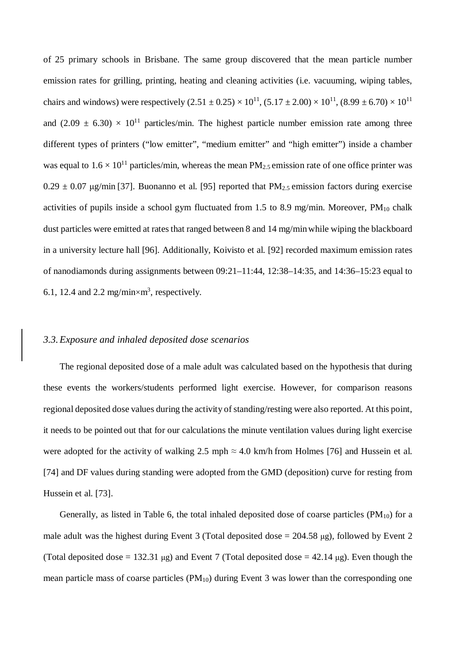of 25 primary schools in Brisbane. The same group discovered that the mean particle number emission rates for grilling, printing, heating and cleaning activities (i.e. vacuuming, wiping tables, chairs and windows) were respectively  $(2.51 \pm 0.25) \times 10^{11}$ ,  $(5.17 \pm 2.00) \times 10^{11}$ ,  $(8.99 \pm 6.70) \times 10^{11}$ and  $(2.09 \pm 6.30) \times 10^{11}$  particles/min. The highest particle number emission rate among three different types of printers ("low emitter", "medium emitter" and "high emitter") inside a chamber was equal to  $1.6 \times 10^{11}$  particles/min, whereas the mean PM<sub>2.5</sub> emission rate of one office printer was  $0.29 \pm 0.07$  μg/min [37]. Buonanno et al. [95] reported that PM<sub>2.5</sub> emission factors during exercise activities of pupils inside a school gym fluctuated from 1.5 to 8.9 mg/min. Moreover,  $PM_{10}$  chalk dust particles were emitted at rates that ranged between 8 and 14 mg/min while wiping the blackboard in a university lecture hall [96]. Additionally, Koivisto et al. [92] recorded maximum emission rates of nanodiamonds during assignments between 09:21–11:44, 12:38–14:35, and 14:36–15:23 equal to 6.1, 12.4 and 2.2 mg/min $\times$ m<sup>3</sup>, respectively.

#### *3.3.Exposure and inhaled deposited dose scenarios*

The regional deposited dose of a male adult was calculated based on the hypothesis that during these events the workers/students performed light exercise. However, for comparison reasons regional deposited dose values during the activity of standing/resting were also reported. At this point, it needs to be pointed out that for our calculations the minute ventilation values during light exercise were adopted for the activity of walking 2.5 mph  $\approx 4.0$  km/h from Holmes [76] and Hussein et al. [74] and DF values during standing were adopted from the GMD (deposition) curve for resting from Hussein et al. [73].

Generally, as listed in Table 6, the total inhaled deposited dose of coarse particles  $(PM_{10})$  for a male adult was the highest during Event 3 (Total deposited dose  $= 204.58 \mu g$ ), followed by Event 2 (Total deposited dose = 132.31 μg) and Event 7 (Total deposited dose =  $42.14 \mu$ g). Even though the mean particle mass of coarse particles  $(PM_{10})$  during Event 3 was lower than the corresponding one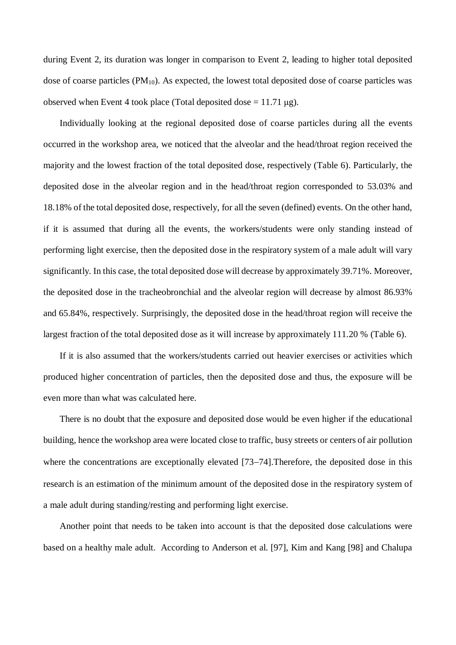during Event 2, its duration was longer in comparison to Event 2, leading to higher total deposited dose of coarse particles  $(PM_{10})$ . As expected, the lowest total deposited dose of coarse particles was observed when Event 4 took place (Total deposited dose  $= 11.71 \mu g$ ).

Individually looking at the regional deposited dose of coarse particles during all the events occurred in the workshop area, we noticed that the alveolar and the head/throat region received the majority and the lowest fraction of the total deposited dose, respectively (Table 6). Particularly, the deposited dose in the alveolar region and in the head/throat region corresponded to 53.03% and 18.18% of the total deposited dose, respectively, for all the seven (defined) events. On the other hand, if it is assumed that during all the events, the workers/students were only standing instead of performing light exercise, then the deposited dose in the respiratory system of a male adult will vary significantly. In this case, the total deposited dose will decrease by approximately 39.71%. Moreover, the deposited dose in the tracheobronchial and the alveolar region will decrease by almost 86.93% and 65.84%, respectively. Surprisingly, the deposited dose in the head/throat region will receive the largest fraction of the total deposited dose as it will increase by approximately 111.20 % (Table 6).

If it is also assumed that the workers/students carried out heavier exercises or activities which produced higher concentration of particles, then the deposited dose and thus, the exposure will be even more than what was calculated here.

There is no doubt that the exposure and deposited dose would be even higher if the educational building, hence the workshop area were located close to traffic, busy streets or centers of air pollution where the concentrations are exceptionally elevated [73-74]. Therefore, the deposited dose in this research is an estimation of the minimum amount of the deposited dose in the respiratory system of a male adult during standing/resting and performing light exercise.

Another point that needs to be taken into account is that the deposited dose calculations were based on a healthy male adult. According to Anderson et al. [97], Kim and Kang [98] and Chalupa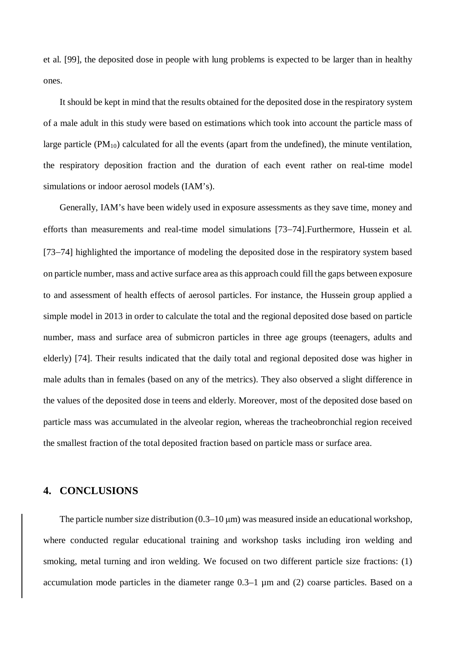et al. [99], the deposited dose in people with lung problems is expected to be larger than in healthy ones.

It should be kept in mind that the results obtained for the deposited dose in the respiratory system of a male adult in this study were based on estimations which took into account the particle mass of large particle  $(PM_{10})$  calculated for all the events (apart from the undefined), the minute ventilation, the respiratory deposition fraction and the duration of each event rather on real-time model simulations or indoor aerosol models (IAM's).

Generally, IAM's have been widely used in exposure assessments as they save time, money and efforts than measurements and real-time model simulations [73-74].Furthermore, Hussein et al. [73-74] highlighted the importance of modeling the deposited dose in the respiratory system based on particle number, mass and active surface area as this approach could fill the gaps between exposure to and assessment of health effects of aerosol particles. For instance, the Hussein group applied a simple model in 2013 in order to calculate the total and the regional deposited dose based on particle number, mass and surface area of submicron particles in three age groups (teenagers, adults and elderly) [74]. Their results indicated that the daily total and regional deposited dose was higher in male adults than in females (based on any of the metrics). They also observed a slight difference in the values of the deposited dose in teens and elderly. Moreover, most of the deposited dose based on particle mass was accumulated in the alveolar region, whereas the tracheobronchial region received the smallest fraction of the total deposited fraction based on particle mass or surface area.

#### **4. CONCLUSIONS**

The particle number size distribution  $(0.3-10 \,\mu m)$  was measured inside an educational workshop, where conducted regular educational training and workshop tasks including iron welding and smoking, metal turning and iron welding. We focused on two different particle size fractions: (1) accumulation mode particles in the diameter range 0.3–1 µm and (2) coarse particles. Based on a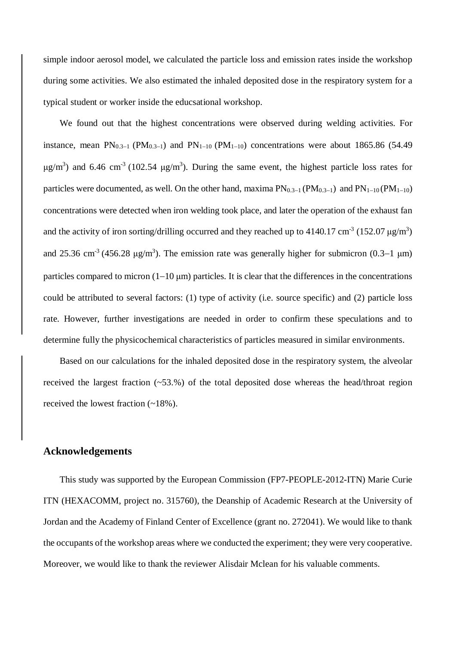simple indoor aerosol model, we calculated the particle loss and emission rates inside the workshop during some activities. We also estimated the inhaled deposited dose in the respiratory system for a typical student or worker inside the educsational workshop.

We found out that the highest concentrations were observed during welding activities. For instance, mean  $PN_{0.3-1}$  ( $PM_{0.3-1}$ ) and  $PN_{1-10}$  ( $PM_{1-10}$ ) concentrations were about 1865.86 (54.49 μg/m<sup>3</sup>) and 6.46 cm<sup>-3</sup> (102.54 μg/m<sup>3</sup>). During the same event, the highest particle loss rates for particles were documented, as well. On the other hand, maxima  $PN_{0,3-1} (PM_{0,3-1})$  and  $PN_{1-10} (PM_{1-10})$ concentrations were detected when iron welding took place, and later the operation of the exhaust fan and the activity of iron sorting/drilling occurred and they reached up to  $4140.17 \text{ cm}^3$  (152.07  $\mu$ g/m<sup>3</sup>) and 25.36 cm<sup>-3</sup> (456.28  $\mu$ g/m<sup>3</sup>). The emission rate was generally higher for submicron (0.3–1  $\mu$ m) particles compared to micron  $(1-10 \mu m)$  particles. It is clear that the differences in the concentrations could be attributed to several factors: (1) type of activity (i.e. source specific) and (2) particle loss rate. However, further investigations are needed in order to confirm these speculations and to determine fully the physicochemical characteristics of particles measured in similar environments.

Based on our calculations for the inhaled deposited dose in the respiratory system, the alveolar received the largest fraction (~53.%) of the total deposited dose whereas the head/throat region received the lowest fraction (~18%).

#### **Acknowledgements**

This study was supported by the European Commission (FP7-PEOPLE-2012-ITN) Marie Curie ITN (HEXACOMM, project no. 315760), the Deanship of Academic Research at the University of Jordan and the Academy of Finland Center of Excellence (grant no. 272041). We would like to thank the occupants of the workshop areas where we conducted the experiment; they were very cooperative. Moreover, we would like to thank the reviewer Alisdair Mclean for his valuable comments.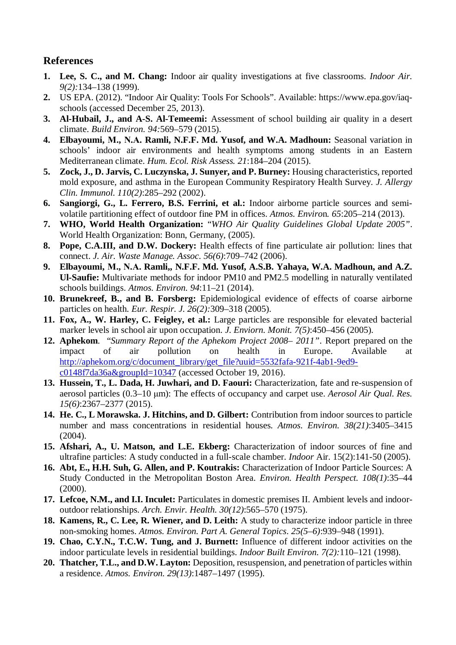### **References**

- **1. Lee, S. C., and M. Chang:** Indoor air quality investigations at five classrooms. *Indoor Air. 9(2):*134–138 (1999).
- **2.** US EPA. (2012). "Indoor Air Quality: Tools For Schools". Available: https://www.epa.gov/iaqschools (accessed December 25, 2013).
- **3. Al-Hubail, J., and A-S. Al-Temeemi:** Assessment of school building air quality in a desert climate. *Build Environ. 94:*569–579 (2015).
- **4. Elbayoumi, Μ., Ν.Α. Ramli, N.F.F. Md. Yusof, and W.A. Madhoun:** Seasonal variation in schools' indoor air environments and health symptoms among students in an Eastern Mediterranean climate. *Hum. Ecol. Risk Assess. 21*:184–204 (2015).
- **5. Zock, J., D. Jarvis, C. Luczynska, J. Sunyer, and P. Burney:** Housing characteristics, reported mold exposure, and asthma in the European Community Respiratory Health Survey. *J. Allergy Clin. Immunol. 110(2)*:285–292 (2002).
- **6. Sangiorgi, G., L. Ferrero, B.S. Ferrini, et al.:** Indoor airborne particle sources and semivolatile partitioning effect of outdoor fine PM in offices. *Atmos. Enviro*n*. 65*:205–214 (2013).
- **7. WHO, World Health Organization:** "*WHO Air Quality Guidelines Global Update 2005"*. World Health Organization: Bonn, Germany, (2005).
- **8. Pope, C.A.III, and D.W. Dockery:** Health effects of fine particulate air pollution: lines that connect. *J. Air. Waste Manage. Assoc*. *56(6)*:709–742 (2006).
- **9. Elbayoumi, Μ., Ν.Α. Ramli,, N.F.F. Md. Yusof, A.S.B. Yahaya, W.A. Madhoun, and A.Z. Ul-Saufie:** Multivariate methods for indoor PM10 and PM2.5 modelling in naturally ventilated schools buildings. *Atmos. Environ. 94*:11–21 (2014).
- **10. Brunekreef, B., and B. Forsberg:** Epidemiological evidence of effects of coarse airborne particles on health. *Eur. Respir. J. 26(2):*309–318 (2005).
- **11. Fox, A., W. Harley, C. Feigley, et al.:** Large particles are responsible for elevated bacterial marker levels in school air upon occupation. *J. Enviorn. Monit. 7(5)*:450–456 (2005).
- **12. Aphekom**. "*Summary Report of the Aphekom Project 2008– 2011"*. Report prepared on the impact of air pollution on health in Europe. Available at [http://aphekom.org/c/document\\_library/get\\_file?uuid=5532fafa-921f-4ab1-9ed9](http://aphekom.org/c/document_library/get_file?uuid=5532fafa-921f-4ab1-9ed9-c0148f7da36a&groupId=10347) [c0148f7da36a&groupId=10347](http://aphekom.org/c/document_library/get_file?uuid=5532fafa-921f-4ab1-9ed9-c0148f7da36a&groupId=10347) (accessed October 19, 2016).
- **13. Hussein, T., L. Dada, H. Juwhari, and D. Faouri:** Characterization, fate and re-suspension of aerosol particles (0.3–10 μm): The effects of occupancy and carpet use. *Aerosol Air Qual. Res. 15(6)*:2367–2377 (2015).
- **14. He. C., L Morawska. J. Hitchins, and D. Gilbert:** Contribution from indoor sources to particle number and mass concentrations in residential houses. *Atmos. Environ. 38(21)*:3405–3415 (2004).
- **15. Afshari, A., U. Matson, and L.E. Ekberg:** Characterization of indoor sources of fine and ultrafine particles: A study conducted in a full-scale chamber. *Indoor* Air. 15(2):141-50 (2005).
- **16. Abt, E., H.H. Suh, G. Allen, and P. Koutrakis:** Characterization of Indoor Particle Sources: A Study Conducted in the Metropolitan Boston Area. *Environ. Health Perspect. 108(1)*:35–44 (2000).
- **17. Lefcoe, N.M., and I.I. Inculet:** Particulates in domestic premises II. Ambient levels and indooroutdoor relationships. *Arch. Envir. Health*. *30(12)*:565–570 (1975).
- **18. Kamens, R., C. Lee, R. Wiener, and D. Leith:** A study to characterize indoor particle in three non-smoking homes. *Atmos. Environ. Part A. General Topics*. *25(5–6)*:939–948 (1991).
- **19. Chao, C.Y.N., T.C.W. Tung, and J. Burnett:** Influence of different indoor activities on the indoor particulate levels in residential buildings. *Indoor Built Environ. 7(2):*110–121 (1998).
- **20. Thatcher, T.L., and D.W. Layton:** Deposition, resuspension, and penetration of particles within a residence. *Atmos. Environ. 29(13)*:1487–1497 (1995).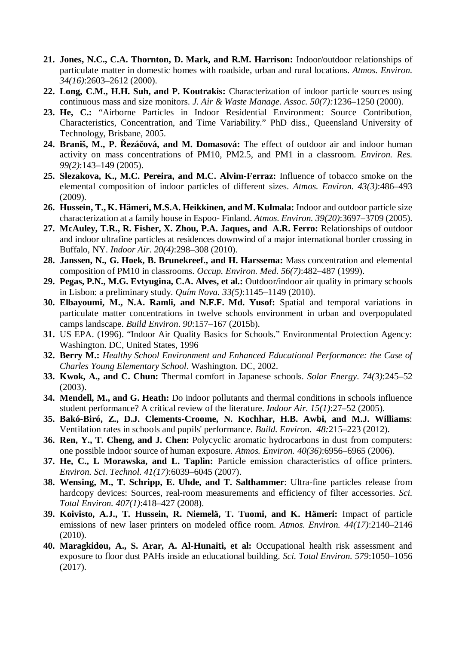- **21. Jones, N.C., C.A. Thornton, D. Mark, and R.M. Harrison:** Indoor/outdoor relationships of particulate matter in domestic homes with roadside, urban and rural locations. *Atmos. Environ. 34(16)*:2603–2612 (2000).
- **22. Long, C.M., H.H. Suh, and P. Koutrakis:** Characterization of indoor particle sources using continuous mass and size monitors. *J. Air & Waste Manage. Assoc. 50(7):*1236–1250 (2000).
- **23. He, C.:** "Airborne Particles in Indoor Residential Environment: Source Contribution, Characteristics, Concentration, and Time Variability." PhD diss., Queensland University of Technology, Brisbane, 2005.
- **24. Braniš, M., P. Řezáčová, and M. Domasová:** The effect of outdoor air and indoor human activity on mass concentrations of PM10, PM2.5, and PM1 in a classroom. *Environ. Res. 99(2)*:143–149 (2005).
- **25. Slezakova, K., M.C. Pereira, and M.C. Alvim-Ferraz:** Influence of tobacco smoke on the elemental composition of indoor particles of different sizes. *Atmos. Environ. 43(3)*:486–493 (2009).
- **26. Hussein, T., K. Hämeri, M.S.A. Heikkinen, and M. Kulmala:** Indoor and outdoor particle size characterization at a family house in Espoo- Finland. *Atmos. Environ. 39(20)*:3697–3709 (2005).
- **27. McAuley, T.R., R. Fisher, X. Zhou, P.A. Jaques, and A.R. Ferro:** Relationships of outdoor and indoor ultrafine particles at residences downwind of a major international border crossing in Buffalo, NY. *Indoor Air*. *20(4)*:298–308 (2010).
- **28. Janssen, N., G. Hoek, B. Brunekreef., and H. Harssema:** Mass concentration and elemental composition of PM10 in classrooms. *Occup. Environ. Med*. *56(7)*:482–487 (1999).
- **29. Pegas, P.N., M.G. Evtyugina, C.A. Alves, et al.:** Outdoor/indoor air quality in primary schools in Lisbon: a preliminary study. *Quím Nova. 33(5)*:1145–1149 (2010).
- **30. Elbayoumi, Μ., Ν.Α. Ramli, and N.F.F. Md. Yusof:** Spatial and temporal variations in particulate matter concentrations in twelve schools environment in urban and overpopulated camps landscape. *Build Environ*. *90*:157–167 (2015b).
- **31.** US EPA. (1996). "Indoor Air Quality Basics for Schools." Environmental Protection Agency: Washington. DC, United States, 1996
- **32. Berry M.:** *Healthy School Environment and Enhanced Educational Performance: the Case of Charles Young Elementary School*. Washington. DC, 2002.
- **33. Kwok, A., and C. Chun:** Thermal comfort in Japanese schools. *Solar Energy*. *74(3)*:245–52 (2003).
- **34. Mendell, M., and G. Heath:** Do indoor pollutants and thermal conditions in schools influence student performance? A critical review of the literature. *Indoor Air*. *15(1)*:27–52 (2005).
- **35. Bakó-Biró, Z., D.J. Clements-Croome, N. Kochhar, H.B. Awbi, and M.J. Williams**: Ventilation rates in schools and pupils' performance. *Build. Enviro*n. *48:*215–223 (2012).
- **36. Ren, Y., T. Cheng, and J. Chen:** Polycyclic aromatic hydrocarbons in dust from computers: one possible indoor source of human exposure. *Atmos. Environ. 40(36)*:6956–6965 (2006).
- **37. He, C., L Morawska, and L. Taplin:** Particle emission characteristics of office printers. *Environ. Sci. Technol. 41(17)*:6039–6045 (2007).
- **38. Wensing, M., T. Schripp, E. Uhde, and T. Salthammer**: Ultra-fine particles release from hardcopy devices: Sources, real-room measurements and efficiency of filter accessories. *Sci. Total Environ. 407(1)*:418–427 (2008).
- **39. Koivisto, A.J., T. Hussein, R. Niemelä, T. Tuomi, and K. Hämeri:** Impact of particle emissions of new laser printers on modeled office room. *Atmos. Environ. 44(17)*:2140–2146 (2010).
- **40. Maragkidou, A., S. Arar, A. Al-Hunaiti, et al:** Occupational health risk assessment and exposure to floor dust PAHs inside an educational building. *Sci. Total Environ. 579*:1050–1056 (2017).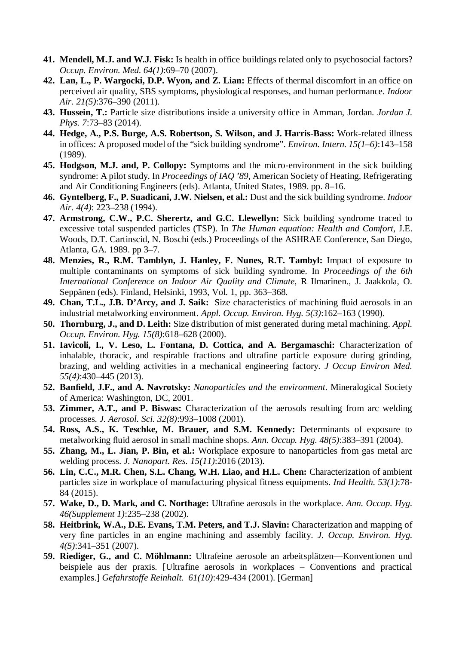- **41. Mendell, M.J. and W.J. Fisk:** Is health in office buildings related only to psychosocial factors? *Occup. Environ. Med. 64(1)*:69–70 (2007).
- **42. Lan, L., P. Wargocki, D.P. Wyon, and Z. Lian:** Effects of thermal discomfort in an office on perceived air quality, SBS symptoms, physiological responses, and human performance. *Indoor Air*. *21(5)*:376–390 (2011).
- **43. Hussein, T.:** Particle size distributions inside a university office in Amman, Jordan. *Jordan J. Phys. 7*:73–83 (2014).
- **44. Hedge, A., P.S. Burge, A.S. Robertson, S. Wilson, and J. Harris-Bass:** Work-related illness in offices: A proposed model of the "sick building syndrome". *Environ. Intern. 15(1–6)*:143–158 (1989).
- **45. Hodgson, M.J. and, P. Collopy:** Symptoms and the micro-environment in the sick building syndrome: A pilot study. In *Proceedings of IAQ '89,* American Society of Heating, Refrigerating and Air Conditioning Engineers (eds). Atlanta, United States, 1989. pp. 8–16.
- **46. Gyntelberg, F., P. Suadicani, J.W. Nielsen, et al.:** Dust and the sick building syndrome. *Indoor Air. 4(4)*: 223–238 (1994).
- **47. Armstrong, C.W., P.C. Sherertz, and G.C. Llewellyn:** Sick building syndrome traced to excessive total suspended particles (TSP). In *The Human equation: Health and Comfort*, J.E. Woods, D.T. Cartinscid, N. Boschi (eds.) Proceedings of the ASHRAE Conference, San Diego, Atlanta, GA. 1989. pp 3–7.
- **48. Menzies, R., R.M. Tamblyn, J. Hanley, F. Nunes, R.T. Tambyl:** Impact of exposure to multiple contaminants on symptoms of sick building syndrome. In *Proceedings of the 6th International Conference on Indoor Air Quality and Climate*, R Ilmarinen., J. Jaakkola, O. Seppänen (eds). Finland, Helsinki, 1993, Vol. 1, pp. 363–368.
- **49. Chan, T.L., J.B. D'Arcy, and J. Saik:** Size characteristics of machining fluid aerosols in an industrial metalworking environment. *Appl. Occup. Environ. Hyg. 5(3)*:162–163 (1990).
- **50. Thornburg, J., and D. Leith:** Size distribution of mist generated during metal machining. *Appl. Occup. Environ. Hyg. 15(8)*:618–628 (2000).
- **51. Iavicoli, I., V. Leso, L. Fontana, D. Cottica, and A. Bergamaschi:** Characterization of inhalable, thoracic, and respirable fractions and ultrafine particle exposure during grinding, brazing, and welding activities in a mechanical engineering factory. *J Occup Environ Med. 55(4)*:430–445 (2013).
- **52. Banfield, J.F., and A. Navrotsky:** *Nanoparticles and the environment*. Mineralogical Society of America: Washington, DC, 2001.
- **53. Zimmer, A.T., and P. Biswas:** Characterization of the aerosols resulting from arc welding processes. *J. Aerosol. Sci. 32(8)*:993–1008 (2001).
- **54. Ross, A.S., K. Teschke, M. Brauer, and S.M. Kennedy:** Determinants of exposure to metalworking fluid aerosol in small machine shops. *Ann. Occup. Hyg. 48(5)*:383–391 (2004).
- **55. Zhang, M., L. Jian, P. Bin, et al.:** Workplace exposure to nanoparticles from gas metal arc welding process. *J. Nanopart. Res. 15(11)*:2016 (2013).
- **56. Lin, C.C., M.R. Chen, S.L. Chang, W.H. Liao, and H.L. Chen:** Characterization of ambient particles size in workplace of manufacturing physical fitness equipments. *Ind Health. 53(1)*:78- 84 (2015).
- **57. Wake, D., D. Mark, and C. Northage:** Ultrafine aerosols in the workplace. *Ann. Occup. Hyg. 46(Supplement 1)*:235–238 (2002).
- **58. Heitbrink, W.A., D.E. Evans, T.M. Peters, and T.J. Slavin:** Characterization and mapping of very fine particles in an engine machining and assembly facility. *J. Occup. Environ. Hyg. 4(5)*:341–351 (2007).
- **59. Riediger, G., and C. Möhlmann:** Ultrafeine aerosole an arbeitsplätzen—Konventionen und beispiele aus der praxis. [Ultrafine aerosols in workplaces – Conventions and practical examples.] *Gefahrstoffe Reinhalt. 61(10)*:429-434 (2001). [German]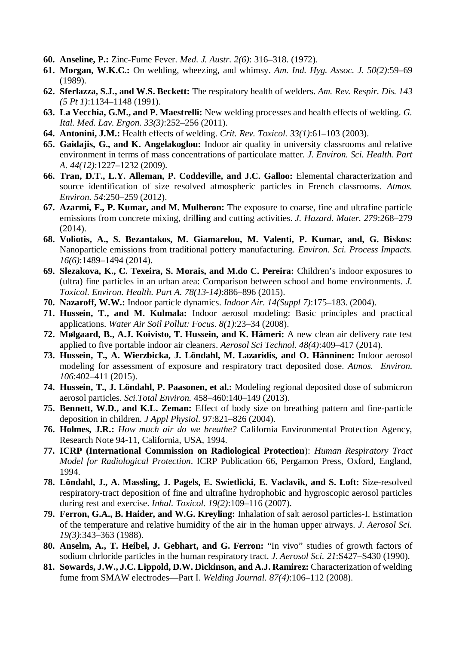- **60. Anseline, P.:** Zinc-Fume Fever. *Med. J. Austr. 2(6)*: 316–318. (1972).
- **61. Morgan, W.K.C.:** On welding, wheezing, and whimsy. *Am. Ind. Hyg. Assoc. J. 50(2)*:59–69 (1989).
- **62. Sferlazza, S.J., and W.S. Beckett:** The respiratory health of welders. *Am. Rev. Respir. Dis. 143 (5 Pt 1)*:1134–1148 (1991).
- **63. La Vecchia, G.M., and P. Maestrelli:** New welding processes and health effects of welding. *G. Ital. Med. Lav. Ergon. 33(3)*:252–256 (2011).
- **64. Antonini, J.M.:** Health effects of welding. *Crit. Rev. Toxicol. 33(1)*:61–103 (2003).
- **65. Gaidajis, G., and K. Angelakoglou:** Indoor air quality in university classrooms and relative environment in terms of mass concentrations of particulate matter. *J. Environ. Sci. Health. Part A. 44(12)*:1227–1232 (2009).
- **66. Tran, D.T., L.Y. Alleman, P. Coddeville, and J.C. Galloo:** Elemental characterization and source identification of size resolved atmospheric particles in French classrooms. *Atmos. Environ. 54*:250–259 (2012).
- **67. Azarmi, F., P. Kumar, and M. Mulheron:** The exposure to coarse, fine and ultrafine particle emissions from concrete mixing, dril**lin**g and cutting activities. *J. Hazard. Mater. 279*:268–279 (2014).
- **68. Voliotis, A., S. Bezantakos, M. Giamarelou, M. Valenti, P. Kumar, and, G. Biskos:** Nanoparticle emissions from traditional pottery manufacturing. *Environ. Sci. Process Impacts. 16(6)*:1489–1494 (2014).
- **69. Slezakova, K., C. Texeira, S. Morais, and M.do C. Pereira:** Children's indoor exposures to (ultra) fine particles in an urban area: Comparison between school and home environments. *J. Toxicol. Environ. Health. Part A. 78(13-14)*:886–896 (2015).
- **70. Nazaroff, W.W.:** Indoor particle dynamics. *Indoor Air. 14(Suppl 7)*:175–183. (2004).
- **71. Hussein, T., and M. Kulmala:** Indoor aerosol modeling: Basic principles and practical applications. *Water Air Soil Pollut: Focus*. *8(1)*:23–34 (2008).
- **72. Mølgaard, B., A.J. Koivisto, T. Hussein, and K. Hämeri:** A new clean air delivery rate test applied to five portable indoor air cleaners. *Aerosol Sci Technol. 48(4)*:409–417 (2014).
- **73. Hussein, T., A. Wierzbicka, J. Löndahl, M. Lazaridis, and O. Hänninen:** Indoor aerosol modeling for assessment of exposure and respiratory tract deposited dose. *Atmos. Environ. 106*:402–411 (2015).
- **74. Hussein, T., J. Löndahl, P. Paasonen, et al.:** Modeling regional deposited dose of submicron aerosol particles. *Sci.Total Environ.* 458–460:140–149 (2013).
- **75. Bennett, W.D., and K.L. Zeman:** Effect of body size on breathing pattern and fine-particle deposition in children. *J Appl Physiol*. 97:821–826 (2004).
- **76. Holmes, J.R.:** *How much air do we breathe?* California Environmental Protection Agency, Research Note 94-11, California, USA, 1994.
- **77. ICRP (International Commission on Radiological Protection**): *Human Respiratory Tract Model for Radiological Protection*. ICRP Publication 66, Pergamon Press, Oxford, England, 1994.
- **78. Löndahl, J., A. Massling, J. Pagels, E. Swietlicki, E. Vaclavik, and S. Loft:** Size-resolved respiratory-tract deposition of fine and ultrafine hydrophobic and hygroscopic aerosol particles during rest and exercise. *Inhal. Toxicol. 19(2)*:109–116 (2007).
- **79. Ferron, G.A., B. Haider, and W.G. Kreyling:** Inhalation of salt aerosol particles-I. Estimation of the temperature and relative humidity of the air in the human upper airways. *J. Aerosol Sci. 19(3)*:343–363 (1988).
- **80. Anselm, A., T. Heibel, J. Gebhart, and G. Ferron:** "In vivo" studies of growth factors of sodium chrloride particles in the human respiratory tract. *J. Aerosol Sci. 21*:S427–S430 (1990).
- **81. Sowards, J.W., J.C. Lippold, D.W. Dickinson, and A.J. Ramirez:** Characterization of welding fume from SMAW electrodes—Part I. *Welding Journal. 87(4)*:106–112 (2008).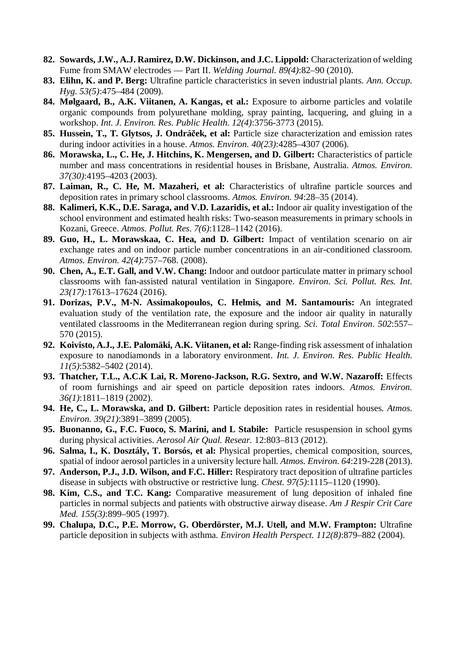- **82. Sowards, J.W., A.J. Ramirez, D.W. Dickinson, and J.C. Lippold:** Characterization of welding Fume from SMAW electrodes — Part II. *Welding Journal. 89(4)*:82–90 (2010).
- **83. Elihn, K. and P. Berg:** Ultrafine particle characteristics in seven industrial plants. *Ann. Occup. Hyg. 53(5)*:475–484 (2009).
- **84. Mølgaard, B., A.K. Viitanen, A. Kangas, et al.:** Exposure to airborne particles and volatile organic compounds from polyurethane molding, spray painting, lacquering, and gluing in a workshop. *Int. J. Environ. Res. Public Health. 12(4)*:3756-3773 (2015).
- **85. Hussein, T., T. Glytsos, J. Ondráček, et al:** Particle size characterization and emission rates during indoor activities in a house. *Atmos. Environ. 40(23)*:4285–4307 (2006).
- **86. Morawska, L., C. He, J. Hitchins, K. Mengersen, and D. Gilbert:** Characteristics of particle number and mass concentrations in residential houses in Brisbane, Australia. *Atmos. Environ. 37(30)*:4195–4203 (2003).
- **87. Laiman, R., C. He, M. Mazaheri, et al:** Characteristics of ultrafine particle sources and deposition rates in primary school classrooms. *Atmos. Environ. 94*:28–35 (2014).
- **88. Kalimeri, K.K., D.E. Saraga, and V.D. Lazaridis, et al.:** Indoor air quality investigation of the school environment and estimated health risks: Two-season measurements in primary schools in Kozani, Greece. *Atmos. Pollut. Res*. *7(6)*:1128–1142 (2016).
- **89. Guo, H., L. Morawskaa, C. Hea, and D. Gilbert:** Impact of ventilation scenario on air exchange rates and on indoor particle number concentrations in an air-conditioned classroom. *Atmos. Environ. 42(4)*:757–768. (2008).
- **90. Chen, A., E.T. Gall, and V.W. Chang:** Indoor and outdoor particulate matter in primary school classrooms with fan-assisted natural ventilation in Singapore. *Environ. Sci. Pollut. Res. Int. 23(17):*17613–17624 (2016).
- **91. Dorizas, P.V., M-N. Assimakopoulos, C. Helmis, and M. Santamouris:** An integrated evaluation study of the ventilation rate, the exposure and the indoor air quality in naturally ventilated classrooms in the Mediterranean region during spring. *Sci. Total Environ*. *502*:557– 570 (2015).
- **92. Koivisto, A.J., J.E. Palomäki, A.K. Viitanen, et al:** Range-finding risk assessment of inhalation exposure to nanodiamonds in a laboratory environment. *Int. J. Environ. Res. Public Health. 11(5)*:5382–5402 (2014).
- **93. Thatcher, T.L., A.C.K Lai, R. Moreno-Jackson, R.G. Sextro, and W.W. Nazaroff:** Effects of room furnishings and air speed on particle deposition rates indoors. *Atmos. Environ. 36(1)*:1811–1819 (2002).
- **94. He, C., L. Morawska, and D. Gilbert:** Particle deposition rates in residential houses. *Atmos. Environ. 39(21)*:3891–3899 (2005).
- **95. Buonanno, G., F.C. Fuoco, S. Marini, and L Stabile:** Particle resuspension in school gyms during physical activities. *Aerosol Air Qual. Resear.* 12:803–813 (2012).
- **96. Salma, I., K. Dosztály, T. Borsós, et al:** Physical properties, chemical composition, sources, spatial of indoor aerosol particles in a university lecture hall. *Atmos. Environ. 64*:219-228 (2013).
- **97. Anderson, P.J., J.D. Wilson, and F.C. Hiller:** Respiratory tract deposition of ultrafine particles disease in subjects with obstructive or restrictive lung. *Chest. 97(5)*:1115–1120 (1990).
- **98. Kim, C.S., and T.C. Kang:** Comparative measurement of lung deposition of inhaled fine particles in normal subjects and patients with obstructive airway disease. *Am J Respir Crit Care Med. 155(3)*:899–905 (1997).
- **99. Chalupa, D.C., P.E. Morrow, G. Oberdörster, M.J. Utell, and M.W. Frampton:** Ultrafine particle deposition in subjects with asthma. *Environ Health Perspect. 112(8)*:879–882 (2004).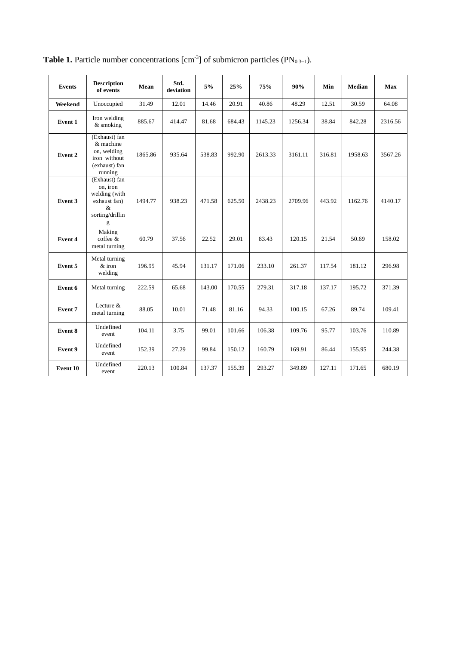| <b>Events</b> | <b>Description</b><br>of events                                                            | Mean    | Std.<br>deviation | 5%     | 25%    | 75%     | 90%     | Min    | <b>Median</b> | Max     |
|---------------|--------------------------------------------------------------------------------------------|---------|-------------------|--------|--------|---------|---------|--------|---------------|---------|
| Weekend       | Unoccupied                                                                                 | 31.49   | 12.01             | 14.46  | 20.91  | 40.86   | 48.29   | 12.51  | 30.59         | 64.08   |
| Event 1       | Iron welding<br>& smoking                                                                  | 885.67  | 414.47            | 81.68  | 684.43 | 1145.23 | 1256.34 | 38.84  | 842.28        | 2316.56 |
| Event 2       | (Exhaust) fan<br>& machine<br>on, welding<br>iron without<br>(exhaust) fan<br>running      | 1865.86 | 935.64            | 538.83 | 992.90 | 2613.33 | 3161.11 | 316.81 | 1958.63       | 3567.26 |
| Event 3       | (Exhaust) fan<br>on, iron<br>welding (with<br>exhaust fan)<br>$\&$<br>sorting/drillin<br>g | 1494.77 | 938.23            | 471.58 | 625.50 | 2438.23 | 2709.96 | 443.92 | 1162.76       | 4140.17 |
| Event 4       | Making<br>coffee &<br>metal turning                                                        | 60.79   | 37.56             | 22.52  | 29.01  | 83.43   | 120.15  | 21.54  | 50.69         | 158.02  |
| Event 5       | Metal turning<br>$&$ iron<br>welding                                                       | 196.95  | 45.94             | 131.17 | 171.06 | 233.10  | 261.37  | 117.54 | 181.12        | 296.98  |
| Event 6       | Metal turning                                                                              | 222.59  | 65.68             | 143.00 | 170.55 | 279.31  | 317.18  | 137.17 | 195.72        | 371.39  |
| Event 7       | Lecture &<br>metal turning                                                                 | 88.05   | 10.01             | 71.48  | 81.16  | 94.33   | 100.15  | 67.26  | 89.74         | 109.41  |
| Event 8       | Undefined<br>event                                                                         | 104.11  | 3.75              | 99.01  | 101.66 | 106.38  | 109.76  | 95.77  | 103.76        | 110.89  |
| Event 9       | Undefined<br>event                                                                         | 152.39  | 27.29             | 99.84  | 150.12 | 160.79  | 169.91  | 86.44  | 155.95        | 244.38  |
| Event 10      | Undefined<br>event                                                                         | 220.13  | 100.84            | 137.37 | 155.39 | 293.27  | 349.89  | 127.11 | 171.65        | 680.19  |

**Table 1.** Particle number concentrations  $[cm^{-3}]$  of submicron particles ( $PN_{0.3-1}$ ).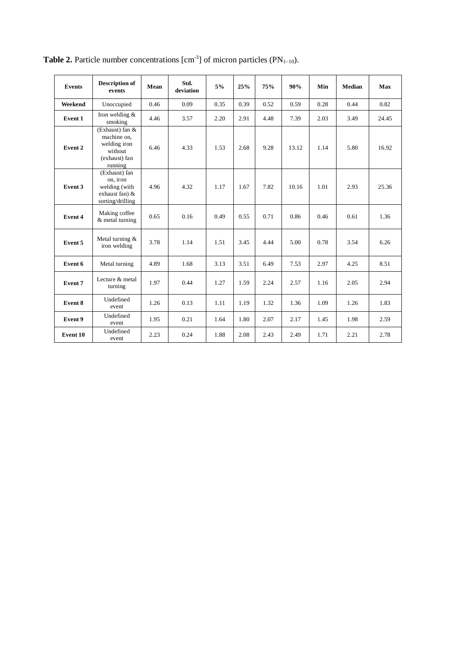| <b>Events</b>   | <b>Description of</b><br>events                                                       | Mean | Std.<br>deviation | 5%   | 25%  | 75%  | 90%   | Min  | <b>Median</b> | Max   |
|-----------------|---------------------------------------------------------------------------------------|------|-------------------|------|------|------|-------|------|---------------|-------|
| Weekend         | Unoccupied                                                                            | 0.46 | 0.09              | 0.35 | 0.39 | 0.52 | 0.59  | 0.28 | 0.44          | 0.82  |
| Event 1         | Iron welding $&$<br>smoking                                                           | 4.46 | 3.57              | 2.20 | 2.91 | 4.48 | 7.39  | 2.03 | 3.49          | 24.45 |
| Event 2         | (Exhaust) fan &<br>machine on,<br>welding iron<br>without<br>(exhaust) fan<br>running | 6.46 | 4.33              | 1.53 | 2.68 | 9.28 | 13.12 | 1.14 | 5.80          | 16.92 |
| Event 3         | (Exhaust) fan<br>on, iron<br>welding (with<br>exhaust fan) &<br>sorting/drilling      | 4.96 | 4.32              | 1.17 | 1.67 | 7.82 | 10.16 | 1.01 | 2.93          | 25.36 |
| Event 4         | Making coffee<br>& metal turning                                                      | 0.65 | 0.16              | 0.49 | 0.55 | 0.71 | 0.86  | 0.46 | 0.61          | 1.36  |
| Event 5         | Metal turning &<br>iron welding                                                       | 3.78 | 1.14              | 1.51 | 3.45 | 4.44 | 5.00  | 0.78 | 3.54          | 6.26  |
| Event 6         | Metal turning                                                                         | 4.89 | 1.68              | 3.13 | 3.51 | 6.49 | 7.53  | 2.97 | 4.25          | 8.51  |
| Event 7         | Lecture & metal<br>turning                                                            | 1.97 | 0.44              | 1.27 | 1.59 | 2.24 | 2.57  | 1.16 | 2.05          | 2.94  |
| Event 8         | Undefined<br>event                                                                    | 1.26 | 0.13              | 1.11 | 1.19 | 1.32 | 1.36  | 1.09 | 1.26          | 1.83  |
| Event 9         | Undefined<br>event                                                                    | 1.95 | 0.21              | 1.64 | 1.80 | 2.07 | 2.17  | 1.45 | 1.98          | 2.59  |
| <b>Event 10</b> | Undefined<br>event                                                                    | 2.23 | 0.24              | 1.88 | 2.08 | 2.43 | 2.49  | 1.71 | 2.21          | 2.78  |

**Table 2.** Particle number concentrations  $[cm<sup>-3</sup>]$  of micron particles  $(PN<sub>1-10</sub>)$ .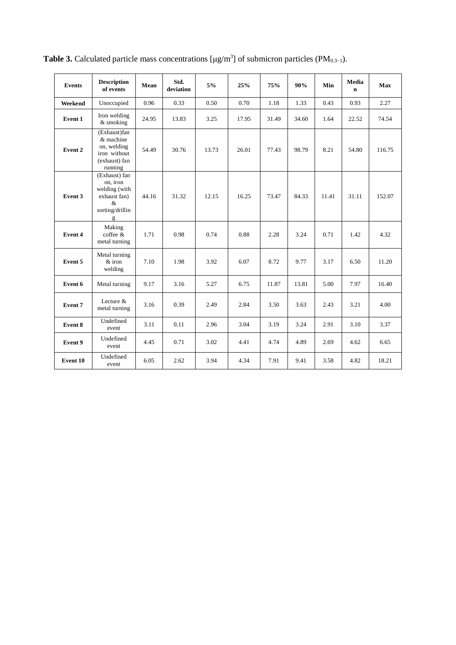| <b>Events</b> | <b>Description</b><br>of events                                                            | Mean  | Std.<br>deviation | 5%    | 25%   | 75%   | 90%   | Min   | Media<br>$\mathbf n$ | Max    |
|---------------|--------------------------------------------------------------------------------------------|-------|-------------------|-------|-------|-------|-------|-------|----------------------|--------|
| Weekend       | Unoccupied                                                                                 | 0.96  | 0.33              | 0.50  | 0.70  | 1.18  | 1.33  | 0.43  | 0.93                 | 2.27   |
| Event 1       | Iron welding<br>$&$ smoking                                                                | 24.95 | 13.83             | 3.25  | 17.95 | 31.49 | 34.60 | 1.64  | 22.52                | 74.54  |
| Event 2       | (Exhaust)fan<br>& machine<br>on, welding<br>iron without<br>(exhaust) fan<br>running       | 54.49 | 30.76             | 13.73 | 26.01 | 77.43 | 98.79 | 8.21  | 54.80                | 116.75 |
| Event 3       | (Exhaust) fan<br>on, iron<br>welding (with<br>exhaust fan)<br>$\&$<br>sorting/drillin<br>g | 44.16 | 31.32             | 12.15 | 16.25 | 73.47 | 84.33 | 11.41 | 31.11                | 152.07 |
| Event 4       | Making<br>coffee &<br>metal turning                                                        | 1.71  | 0.98              | 0.74  | 0.88  | 2.28  | 3.24  | 0.71  | 1.42                 | 4.32   |
| Event 5       | Metal turning<br>$&$ iron<br>welding                                                       | 7.10  | 1.98              | 3.92  | 6.07  | 8.72  | 9.77  | 3.17  | 6.50                 | 11.20  |
| Event 6       | Metal turning                                                                              | 9.17  | 3.16              | 5.27  | 6.75  | 11.87 | 13.81 | 5.00  | 7.97                 | 16.40  |
| Event 7       | Lecture &<br>metal turning                                                                 | 3.16  | 0.39              | 2.49  | 2.84  | 3.50  | 3.63  | 2.43  | 3.21                 | 4.00   |
| Event 8       | Undefined<br>event                                                                         | 3.11  | 0.11              | 2.96  | 3.04  | 3.19  | 3.24  | 2.91  | 3.10                 | 3.37   |
| Event 9       | Undefined<br>event                                                                         | 4.45  | 0.71              | 3.02  | 4.41  | 4.74  | 4.89  | 2.69  | 4.62                 | 6.65   |
| Event 10      | Undefined<br>event                                                                         | 6.05  | 2.62              | 3.94  | 4.34  | 7.91  | 9.41  | 3.58  | 4.82                 | 18.21  |

**Table 3.** Calculated particle mass concentrations  $[\mu g/m^3]$  of submicron particles (PM<sub>0.3-1</sub>).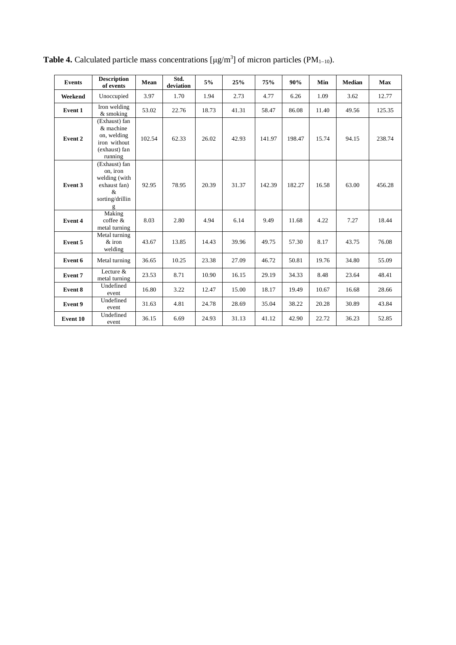| <b>Events</b>   | <b>Description</b><br>of events                                                       | Mean   | Std.<br>deviation | 5%    | 25%   | 75%    | 90%    | Min   | <b>Median</b> | <b>Max</b> |
|-----------------|---------------------------------------------------------------------------------------|--------|-------------------|-------|-------|--------|--------|-------|---------------|------------|
| Weekend         | Unoccupied                                                                            | 3.97   | 1.70              | 1.94  | 2.73  | 4.77   | 6.26   | 1.09  | 3.62          | 12.77      |
| Event 1         | Iron welding<br>& smoking                                                             | 53.02  | 22.76             | 18.73 | 41.31 | 58.47  | 86.08  | 11.40 | 49.56         | 125.35     |
| Event 2         | (Exhaust) fan<br>& machine<br>on, welding<br>iron without<br>(exhaust) fan<br>running | 102.54 | 62.33             | 26.02 | 42.93 | 141.97 | 198.47 | 15.74 | 94.15         | 238.74     |
| Event 3         | (Exhaust) fan<br>on, iron<br>welding (with<br>exhaust fan)<br>&<br>sorting/drillin    | 92.95  | 78.95             | 20.39 | 31.37 | 142.39 | 182.27 | 16.58 | 63.00         | 456.28     |
| Event 4         | Making<br>coffee &<br>metal turning                                                   | 8.03   | 2.80              | 4.94  | 6.14  | 9.49   | 11.68  | 4.22  | 7.27          | 18.44      |
| Event 5         | Metal turning<br>$&$ iron<br>welding                                                  | 43.67  | 13.85             | 14.43 | 39.96 | 49.75  | 57.30  | 8.17  | 43.75         | 76.08      |
| Event 6         | Metal turning                                                                         | 36.65  | 10.25             | 23.38 | 27.09 | 46.72  | 50.81  | 19.76 | 34.80         | 55.09      |
| <b>Event 7</b>  | Lecture &<br>metal turning                                                            | 23.53  | 8.71              | 10.90 | 16.15 | 29.19  | 34.33  | 8.48  | 23.64         | 48.41      |
| Event 8         | Undefined<br>event                                                                    | 16.80  | 3.22              | 12.47 | 15.00 | 18.17  | 19.49  | 10.67 | 16.68         | 28.66      |
| Event 9         | Undefined<br>event                                                                    | 31.63  | 4.81              | 24.78 | 28.69 | 35.04  | 38.22  | 20.28 | 30.89         | 43.84      |
| <b>Event 10</b> | Undefined<br>event                                                                    | 36.15  | 6.69              | 24.93 | 31.13 | 41.12  | 42.90  | 22.72 | 36.23         | 52.85      |

**Table 4.** Calculated particle mass concentrations  $[\mu g/m^3]$  of micron particles (PM<sub>1-10</sub>).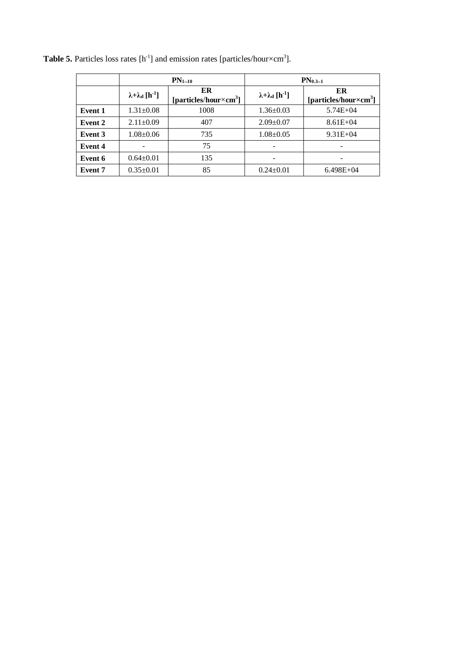|                |                                          | $PN1-10$                                         | $PN0.3-1$                                |                                                  |  |  |
|----------------|------------------------------------------|--------------------------------------------------|------------------------------------------|--------------------------------------------------|--|--|
|                | $\lambda + \lambda_d$ [h <sup>-1</sup> ] | ER<br>[particles/hour $\times$ cm <sup>3</sup> ] | $\lambda + \lambda_d$ [h <sup>-1</sup> ] | ER<br>[particles/hour $\times$ cm <sup>3</sup> ] |  |  |
| Event 1        | $1.31 \pm 0.08$                          | 1008                                             | $1.36 \pm 0.03$                          | $5.74E + 04$                                     |  |  |
| Event 2        | $2.11 \pm 0.09$                          | 407                                              | $2.09 \pm 0.07$                          | $8.61E + 04$                                     |  |  |
| Event 3        | $1.08 \pm 0.06$                          | 735                                              | $1.08 \pm 0.05$                          | $9.31E + 04$                                     |  |  |
| Event 4        |                                          | 75                                               |                                          |                                                  |  |  |
| Event 6        | $0.64 \pm 0.01$                          | 135                                              |                                          | -                                                |  |  |
| <b>Event</b> 7 | $0.35 \pm 0.01$                          | 85                                               | $0.24 \pm 0.01$                          | $6.498E+04$                                      |  |  |

**Table 5.** Particles loss rates  $[h^{-1}]$  and emission rates [particles/hour $\times$ cm<sup>3</sup>].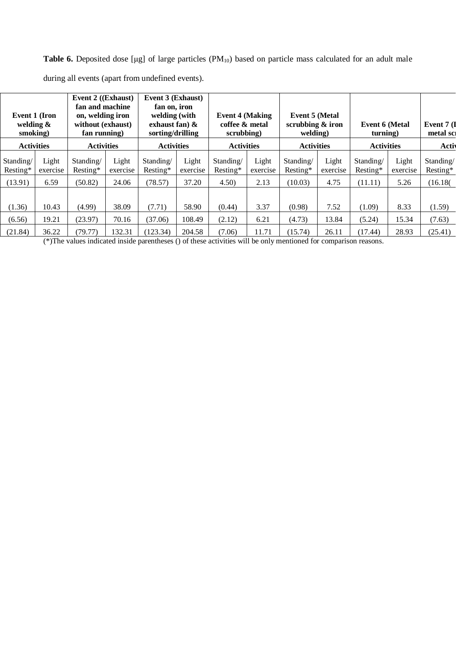**Table 6.** Deposited dose [μg] of large particles (PM10) based on particle mass calculated for an adult male

| <b>Event 1 (Iron</b><br>welding $\&$<br>smoking) |                   |                         | <b>Event 2</b> ((Exhaust)<br><b>Event 3 (Exhaust)</b><br>fan and machine<br>fan on, iron<br>on, welding iron<br>welding (with<br>exhaust fan) $\&$<br>without (exhaust)<br>sorting/drilling<br>fan running) |                       |                   | <b>Event 4 (Making</b><br>coffee & metal<br>scrubbing) |                   | <b>Event 5 (Metal</b><br>scrubbing & iron<br>welding) |                   | <b>Event 6 (Metal</b><br>(turning) |                   | Event 7 (I<br>metal sci |
|--------------------------------------------------|-------------------|-------------------------|-------------------------------------------------------------------------------------------------------------------------------------------------------------------------------------------------------------|-----------------------|-------------------|--------------------------------------------------------|-------------------|-------------------------------------------------------|-------------------|------------------------------------|-------------------|-------------------------|
| <b>Activities</b>                                |                   |                         | <b>Activities</b><br><b>Activities</b>                                                                                                                                                                      |                       |                   | <b>Activities</b>                                      |                   | <b>Activities</b>                                     |                   | <b>Activities</b>                  |                   | Activ                   |
| Standing/<br>Resting*                            | Light<br>exercise | Standing/<br>$Resting*$ | Light<br>exercise                                                                                                                                                                                           | Standing/<br>Resting* | Light<br>exercise | Standing/<br>Resting*                                  | Light<br>exercise | Standing/<br>Resting*                                 | Light<br>exercise | Standing/<br>Resting*              | Light<br>exercise | Standing/<br>Resting*   |
| (13.91)                                          | 6.59              | (50.82)                 | 24.06                                                                                                                                                                                                       | (78.57)               | 37.20             | 4.50)                                                  | 2.13              | (10.03)                                               | 4.75              | (11.11)                            | 5.26              | (16.18()                |
| (1.36)                                           | 10.43             | (4.99)                  | 38.09                                                                                                                                                                                                       | (7.71)                | 58.90             | (0.44)                                                 | 3.37              | (0.98)                                                | 7.52              | (1.09)                             | 8.33              | (1.59)                  |
| (6.56)                                           | 19.21             | (23.97)                 | 70.16                                                                                                                                                                                                       | (37.06)               | 108.49            | (2.12)                                                 | 6.21              | (4.73)                                                | 13.84             | (5.24)                             | 15.34             | (7.63)                  |
| (21.84)                                          | 36.22             | (79.77)                 | 132.31                                                                                                                                                                                                      | (123.34)              | 204.58            | (7.06)                                                 | 11.71             | (15.74)                                               | 26.11             | (17.44)                            | 28.93             | (25.41)                 |

during all events (apart from undefined events).

(\*)The values indicated inside parentheses () of these activities will be only mentioned for comparison reasons.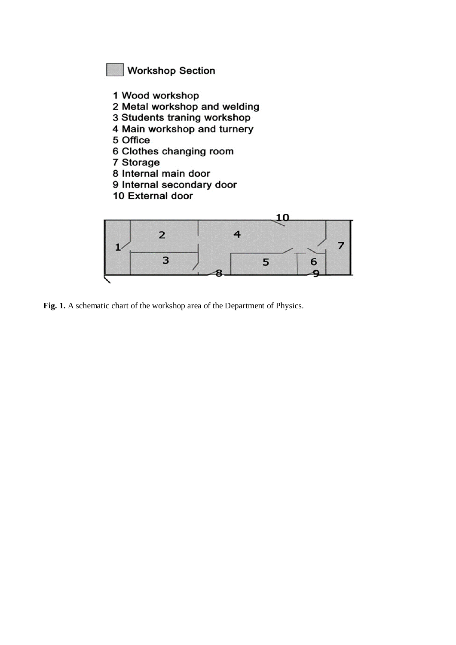**Workshop Section** 

- 1 Wood workshop
- 2 Metal workshop and welding<br>3 Students traning workshop
- 
- 4 Main workshop and turnery
- 5 Office
- 6 Clothes changing room
- 7 Storage
- 8 Internal main door
- 9 Internal secondary door
- 10 External door



**Fig. 1.** A schematic chart of the workshop area of the Department of Physics.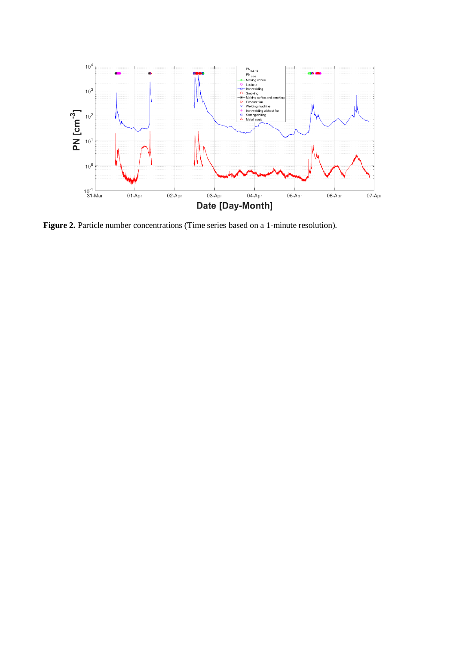

**Figure 2.** Particle number concentrations (Time series based on a 1-minute resolution).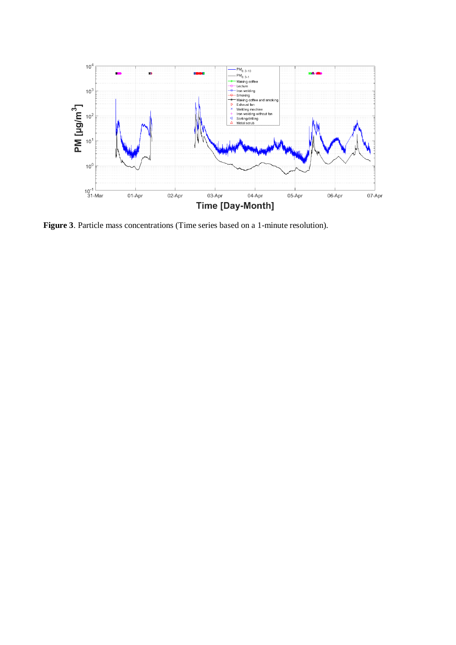

**Figure 3**. Particle mass concentrations (Time series based on a 1-minute resolution).